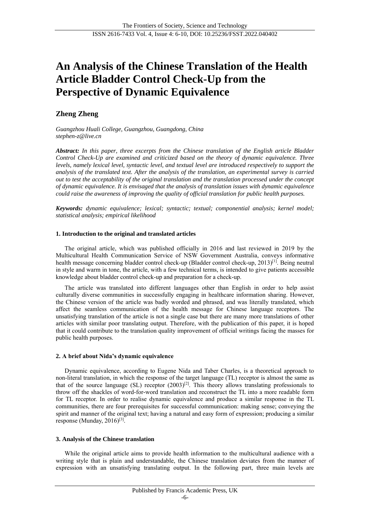# **An Analysis of the Chinese Translation of the Health Article Bladder Control Check-Up from the Perspective of Dynamic Equivalence**

# **Zheng Zheng**

*Guangzhou Huali College, Guangzhou, Guangdong, China stephen-z@live.cn*

*Abstract: In this paper, three excerpts from the Chinese translation of the English article Bladder Control Check-Up are examined and criticized based on the theory of dynamic equivalence. Three levels, namely lexical level, syntactic level, and textual level are introduced respectively to support the analysis of the translated text. After the analysis of the translation, an experimental survey is carried out to test the acceptability of the original translation and the translation processed under the concept of dynamic equivalence. It is envisaged that the analysis of translation issues with dynamic equivalence could raise the awareness of improving the quality of official translation for public health purposes.* 

*Keywords: dynamic equivalence; lexical; syntactic; textual; componential analysis; kernel model; statistical analysis; empirical likelihood*

# **1. Introduction to the original and translated articles**

The original article, which was published officially in 2016 and last reviewed in 2019 by the Multicultural Health Communication Service of NSW Government Australia, conveys informative health message concerning bladder control check-up (Bladder control check-up, 2013)<sup>[1]</sup>. Being neutral in style and warm in tone, the article, with a few technical terms, is intended to give patients accessible knowledge about bladder control check-up and preparation for a check-up.

The article was translated into different languages other than English in order to help assist culturally diverse communities in successfully engaging in healthcare information sharing. However, the Chinese version of the article was badly worded and phrased, and was literally translated, which affect the seamless communication of the health message for Chinese language receptors. The unsatisfying translation of the article is not a single case but there are many more translations of other articles with similar poor translating output. Therefore, with the publication of this paper, it is hoped that it could contribute to the translation quality improvement of official writings facing the masses for public health purposes.

# **2. A brief about Nida's dynamic equivalence**

Dynamic equivalence, according to Eugene Nida and Taber Charles, is a theoretical approach to non-literal translation, in which the response of the target language (TL) receptor is almost the same as that of the source language (SL) receptor  $(2003)^{[2]}$ . This theory allows translating professionals to throw off the shackles of word-for-word translation and reconstruct the TL into a more readable form for TL receptor. In order to realise dynamic equivalence and produce a similar response in the TL communities, there are four prerequisites for successful communication: making sense; conveying the spirit and manner of the original text; having a natural and easy form of expression; producing a similar response (Munday, 2016)<sup>[3]</sup>.

# **3. Analysis of the Chinese translation**

While the original article aims to provide health information to the multicultural audience with a writing style that is plain and understandable, the Chinese translation deviates from the manner of expression with an unsatisfying translating output. In the following part, three main levels are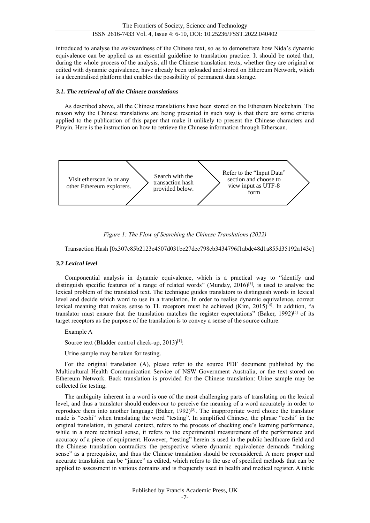introduced to analyse the awkwardness of the Chinese text, so as to demonstrate how Nida's dynamic equivalence can be applied as an essential guideline to translation practice. It should be noted that, during the whole process of the analysis, all the Chinese translation texts, whether they are original or edited with dynamic equivalence, have already been uploaded and stored on Ethereum Network, which is a decentralised platform that enables the possibility of permanent data storage.

# *3.1. The retrieval of all the Chinese translations*

As described above, all the Chinese translations have been stored on the Ethereum blockchain. The reason why the Chinese translations are being presented in such way is that there are some criteria applied to the publication of this paper that make it unlikely to present the Chinese characters and Pinyin. Here is the instruction on how to retrieve the Chinese information through Etherscan.



*Figure 1: The Flow of Searching the Chinese Translations (2022)*

Transaction Hash [0x307c85b2123e4507d031be27dec798cb3434796f1abde48d1a855d35192a143c]

# *3.2 Lexical level*

Componential analysis in dynamic equivalence, which is a practical way to "identify and distinguish specific features of a range of related words" (Munday, 2016)<sup>[3]</sup>, is used to analyse the lexical problem of the translated text. The technique guides translators to distinguish words in lexical level and decide which word to use in a translation. In order to realise dynamic equivalence, correct lexical meaning that makes sense to TL receptors must be achieved (Kim, 2015)<sup>[4]</sup>. In addition, "a translator must ensure that the translation matches the register expectations" (Baker, 1992)<sup>[5]</sup> of its target receptors as the purpose of the translation is to convey a sense of the source culture.

Example A

Source text (Bladder control check-up, 2013)<sup>[1]</sup>:

Urine sample may be taken for testing.

For the original translation (A), please refer to the source PDF document published by the Multicultural Health Communication Service of NSW Government Australia, or the text stored on Ethereum Network. Back translation is provided for the Chinese translation: Urine sample may be collected for testing.

The ambiguity inherent in a word is one of the most challenging parts of translating on the lexical level, and thus a translator should endeavour to perceive the meaning of a word accurately in order to reproduce them into another language (Baker, 1992)<sup>[5]</sup>. The inappropriate word choice the translator made is "ceshi" when translating the word "testing". In simplified Chinese, the phrase "ceshi" in the original translation, in general context, refers to the process of checking one's learning performance, while in a more technical sense, it refers to the experimental measurement of the performance and accuracy of a piece of equipment. However, "testing" herein is used in the public healthcare field and the Chinese translation contradicts the perspective where dynamic equivalence demands "making sense" as a prerequisite, and thus the Chinese translation should be reconsidered. A more proper and accurate translation can be "jiance" as edited, which refers to the use of specified methods that can be applied to assessment in various domains and is frequently used in health and medical register. A table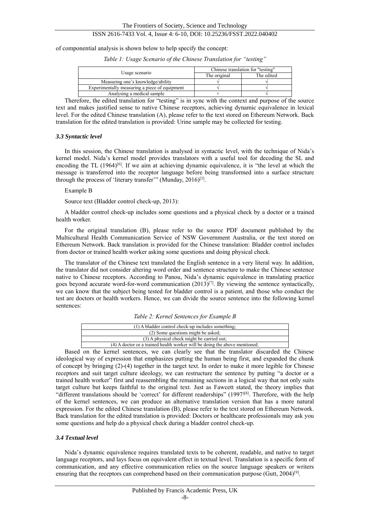of componential analysis is shown below to help specify the concept:

*Table 1: Usage Scenario of the Chinese Translation for "testing"*

|                                               | Chinese translation for "testing" |            |  |
|-----------------------------------------------|-----------------------------------|------------|--|
| Usage scenario                                | The original                      | The edited |  |
| Measuring one's knowledge/ability             |                                   |            |  |
| Experimentally measuring a piece of equipment |                                   |            |  |
| Analysing a medical sample                    |                                   |            |  |

Therefore, the edited translation for "testing" is in sync with the context and purpose of the source text and makes justified sense to native Chinese receptors, achieving dynamic equivalence in lexical level. For the edited Chinese translation (A), please refer to the text stored on Ethereum Network. Back translation for the edited translation is provided: Urine sample may be collected for testing.

#### *3.3 Syntactic level*

In this session, the Chinese translation is analysed in syntactic level, with the technique of Nida's kernel model. Nida's kernel model provides translators with a useful tool for decoding the SL and encoding the TL  $(1964)^{[6]}$ . If we aim at achieving dynamic equivalence, it is "the level at which the message is transferred into the receptor language before being transformed into a surface structure through the process of 'literary transfer'" (Munday, 2016)<sup>[3]</sup>.

#### Example B

Source text (Bladder control check-up, 2013):

A bladder control check-up includes some questions and a physical check by a doctor or a trained health worker.

For the original translation (B), please refer to the source PDF document published by the Multicultural Health Communication Service of NSW Government Australia, or the text stored on Ethereum Network. Back translation is provided for the Chinese translation: Bladder control includes from doctor or trained health worker asking some questions and doing physical check.

The translator of the Chinese text translated the English sentence in a very literal way. In addition, the translator did not consider altering word order and sentence structure to make the Chinese sentence native to Chinese receptors. According to Panou, Nida's dynamic equivalence in translating practice goes beyond accurate word-for-word communication  $(2013)^{[7]}$ . By viewing the sentence syntactically, we can know that the subject being tested for bladder control is a patient, and those who conduct the test are doctors or health workers. Hence, we can divide the source sentence into the following kernel sentences:

| Table 2: Kernel Sentences for Example B |  |
|-----------------------------------------|--|
|-----------------------------------------|--|

| (1) A bladder control check-up includes something;                                                              |  |  |  |
|-----------------------------------------------------------------------------------------------------------------|--|--|--|
| (2) Some questions might be asked;                                                                              |  |  |  |
| (3) A physical check might be carried out;                                                                      |  |  |  |
| (4) A doctor or a trained health worker will be doing the above mentioned.                                      |  |  |  |
| the contract of the contract of the contract of the contract of the contract of the contract of the contract of |  |  |  |

Based on the kernel sentences, we can clearly see that the translator discarded the Chinese ideological way of expression that emphasizes putting the human being first, and expanded the chunk of concept by bringing (2)-(4) together in the target text. In order to make it more legible for Chinese receptors and suit target culture ideology, we can restructure the sentence by putting "a doctor or a trained health worker" first and reassembling the remaining sections in a logical way that not only suits target culture but keeps faithful to the original text. Just as Fawcett stated, the theory implies that "different translations should be 'correct' for different readerships" (1997<sup>[8]</sup>. Therefore, with the help of the kernel sentences, we can produce an alternative translation version that has a more natural expression. For the edited Chinese translation (B), please refer to the text stored on Ethereum Network. Back translation for the edited translation is provided: Doctors or healthcare professionals may ask you some questions and help do a physical check during a bladder control check-up.

# *3.4 Textual level*

Nida's dynamic equivalence requires translated texts to be coherent, readable, and native to target language receptors, and lays focus on equivalent effect in textual level. Translation is a specific form of communication, and any effective communication relies on the source language speakers or writers ensuring that the receptors can comprehend based on their communication purpose (Gutt,  $2004$ )<sup>[9]</sup>.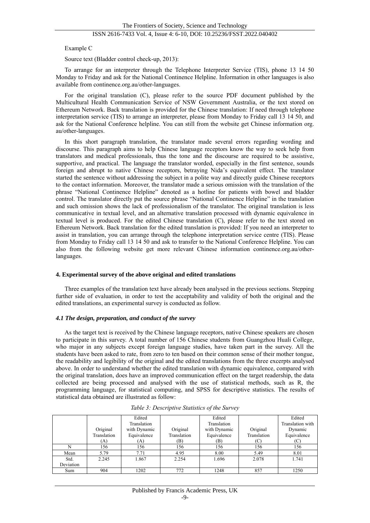Example C

Source text (Bladder control check-up, 2013):

To arrange for an interpreter through the Telephone Interpreter Service (TIS), phone 13 14 50 Monday to Friday and ask for the National Continence Helpline. Information in other languages is also available from continence.org.au/other-languages.

For the original translation (C), please refer to the source PDF document published by the Multicultural Health Communication Service of NSW Government Australia, or the text stored on Ethereum Network. Back translation is provided for the Chinese translation: If need through telephone interpretation service (TIS) to arrange an interpreter, please from Monday to Friday call 13 14 50, and ask for the National Conference helpline. You can still from the website get Chinese information org. au/other-languages.

In this short paragraph translation, the translator made several errors regarding wording and discourse. This paragraph aims to help Chinese language receptors know the way to seek help from translators and medical professionals, thus the tone and the discourse are required to be assistive, supportive, and practical. The language the translator worded, especially in the first sentence, sounds foreign and abrupt to native Chinese receptors, betraying Nida's equivalent effect. The translator started the sentence without addressing the subject in a polite way and directly guide Chinese receptors to the contact information. Moreover, the translator made a serious omission with the translation of the phrase "National Continence Helpline" denoted as a hotline for patients with bowel and bladder control. The translator directly put the source phrase "National Continence Helpline" in the translation and such omission shows the lack of professionalism of the translator. The original translation is less communicative in textual level, and an alternative translation processed with dynamic equivalence in textual level is produced. For the edited Chinese translation (C), please refer to the text stored on Ethereum Network. Back translation for the edited translation is provided: If you need an interpreter to assist in translation, you can arrange through the telephone interpretation service centre (TIS). Please from Monday to Friday call 13 14 50 and ask to transfer to the National Conference Helpline. You can also from the following website get more relevant Chinese information continence.org.au/otherlanguages.

# **4. Experimental survey of the above original and edited translations**

Three examples of the translation text have already been analysed in the previous sections. Stepping further side of evaluation, in order to test the acceptability and validity of both the original and the edited translations, an experimental survey is conducted as follow.

#### *4.1 The design, preparation, and conduct of the survey*

As the target text is received by the Chinese language receptors, native Chinese speakers are chosen to participate in this survey. A total number of 156 Chinese students from Guangzhou Huali College, who major in any subjects except foreign language studies, have taken part in the survey. All the students have been asked to rate, from zero to ten based on their common sense of their mother tongue, the readability and legibility of the original and the edited translations from the three excerpts analysed above. In order to understand whether the edited translation with dynamic equivalence, compared with the original translation, does have an improved communication effect on the target readership, the data collected are being processed and analysed with the use of statistical methods, such as R, the programming language, for statistical computing, and SPSS for descriptive statistics. The results of statistical data obtained are illustrated as follow:

|           |             | Edited       |             | Edited       |             | Edited           |
|-----------|-------------|--------------|-------------|--------------|-------------|------------------|
|           |             | Translation  |             | Translation  |             | Translation with |
|           | Original    | with Dynamic | Original    | with Dynamic | Original    | Dynamic          |
|           | Translation | Equivalence  | Translation | Equivalence  | Translation | Equivalence      |
|           | (A)         | (A)          | (B)         | (B)          | (C)         |                  |
|           | 156         | 156          | 156         | 156          | 156         | 156              |
| Mean      | 5.79        | 7.71         | 4.95        | 8.00         | 5.49        | 8.01             |
| Std.      | 2.245       | 1.867        | 2.254       | 1.696        | 2.078       | 1.741            |
| Deviation |             |              |             |              |             |                  |
| Sum       | 904         | 1202         | 772         | 1248         | 857         | 1250             |

| Table 3: Descriptive Statistics of the Survey |  |  |
|-----------------------------------------------|--|--|
|                                               |  |  |